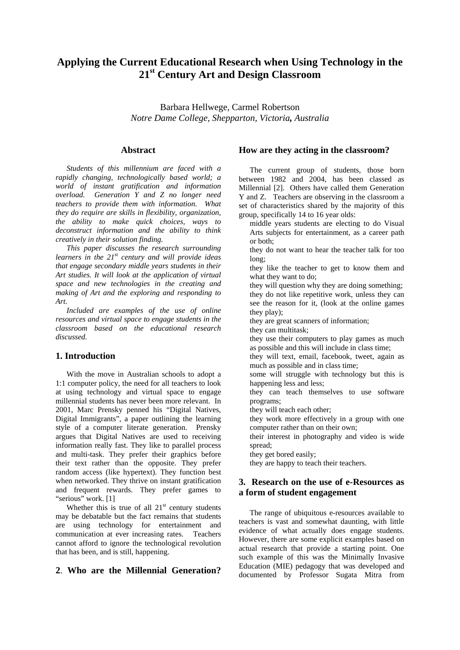# **Applying the Current Educational Research when Using Technology in the 21st Century Art and Design Classroom**

Barbara Hellwege, Carmel Robertson *Notre Dame College, Shepparton, Victoria, Australia*

### **Abstract**

*Students of this millennium are faced with a rapidly changing, technologically based world; a world of instant gratification and information overload. Generation Y and Z no longer need teachers to provide them with information. What they do require are skills in flexibility, organization, the ability to make quick choices, ways to deconstruct information and the ability to think creatively in their solution finding.* 

*This paper discusses the research surrounding learners in the 21st century and will provide ideas that engage secondary middle years students in their Art studies. It will look at the application of virtual space and new technologies in the creating and making of Art and the exploring and responding to Art.* 

*Included are examples of the use of online resources and virtual space to engage students in the classroom based on the educational research discussed.* 

#### **1. Introduction**

With the move in Australian schools to adopt a 1:1 computer policy, the need for all teachers to look at using technology and virtual space to engage millennial students has never been more relevant. In 2001, Marc Prensky penned his "Digital Natives, Digital Immigrants", a paper outlining the learning style of a computer literate generation. Prensky argues that Digital Natives are used to receiving information really fast. They like to parallel process and multi-task. They prefer their graphics before their text rather than the opposite. They prefer random access (like hypertext). They function best when networked. They thrive on instant gratification and frequent rewards. They prefer games to "serious" work. [1]

Whether this is true of all  $21<sup>st</sup>$  century students may be debatable but the fact remains that students are using technology for entertainment and communication at ever increasing rates. Teachers cannot afford to ignore the technological revolution that has been, and is still, happening.

## **2**. **Who are the Millennial Generation?**

#### **How are they acting in the classroom?**

The current group of students, those born between 1982 and 2004, has been classed as Millennial [2]. Others have called them Generation Y and Z. Teachers are observing in the classroom a set of characteristics shared by the majority of this group, specifically 14 to 16 year olds:

middle years students are electing to do Visual Arts subjects for entertainment, as a career path or both;

they do not want to hear the teacher talk for too long;

they like the teacher to get to know them and what they want to do;

they will question why they are doing something; they do not like repetitive work, unless they can see the reason for it, (look at the online games they play);

they are great scanners of information;

they can multitask;

they use their computers to play games as much as possible and this will include in class time;

they will text, email, facebook, tweet, again as much as possible and in class time;

some will struggle with technology but this is happening less and less;

they can teach themselves to use software programs;

they will teach each other;

they work more effectively in a group with one computer rather than on their own;

their interest in photography and video is wide spread;

they get bored easily;

they are happy to teach their teachers.

### **3. Research on the use of e-Resources as a form of student engagement**

The range of ubiquitous e-resources available to teachers is vast and somewhat daunting, with little evidence of what actually does engage students. However, there are some explicit examples based on actual research that provide a starting point. One such example of this was the Minimally Invasive Education (MIE) pedagogy that was developed and documented by Professor Sugata Mitra from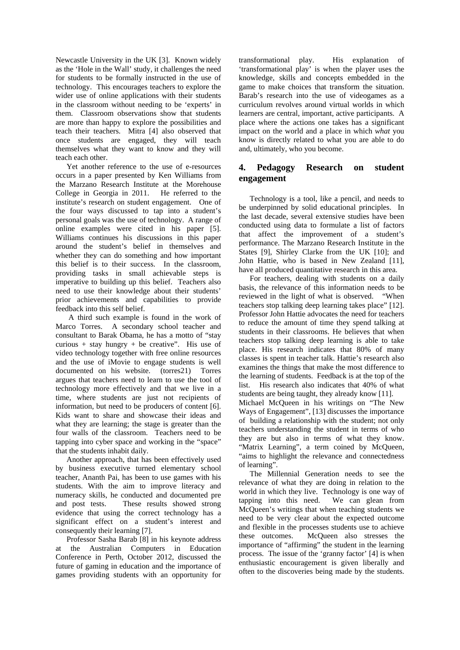Newcastle University in the UK [3]. Known widely as the 'Hole in the Wall' study, it challenges the need for students to be formally instructed in the use of technology. This encourages teachers to explore the wider use of online applications with their students in the classroom without needing to be 'experts' in them. Classroom observations show that students are more than happy to explore the possibilities and teach their teachers. Mitra [4] also observed that once students are engaged, they will teach themselves what they want to know and they will teach each other.

Yet another reference to the use of e-resources occurs in a paper presented by Ken Williams from the Marzano Research Institute at the Morehouse College in Georgia in 2011. He referred to the institute's research on student engagement. One of the four ways discussed to tap into a student's personal goals was the use of technology. A range of online examples were cited in his paper [5]. Williams continues his discussions in this paper around the student's belief in themselves and whether they can do something and how important this belief is to their success. In the classroom, providing tasks in small achievable steps is imperative to building up this belief. Teachers also need to use their knowledge about their students' prior achievements and capabilities to provide feedback into this self belief.

 A third such example is found in the work of Marco Torres. A secondary school teacher and consultant to Barak Obama, he has a motto of "stay curious + stay hungry + be creative". His use of video technology together with free online resources and the use of iMovie to engage students is well documented on his website. (torres21) Torres argues that teachers need to learn to use the tool of technology more effectively and that we live in a time, where students are just not recipients of information, but need to be producers of content [6]. Kids want to share and showcase their ideas and what they are learning; the stage is greater than the four walls of the classroom. Teachers need to be tapping into cyber space and working in the "space" that the students inhabit daily.

Another approach, that has been effectively used by business executive turned elementary school teacher, Ananth Pai, has been to use games with his students. With the aim to improve literacy and numeracy skills, he conducted and documented pre and post tests. These results showed strong evidence that using the correct technology has a significant effect on a student's interest and consequently their learning [7].

Professor Sasha Barab [8] in his keynote address at the Australian Computers in Education Conference in Perth, October 2012, discussed the future of gaming in education and the importance of games providing students with an opportunity for

transformational play. His explanation of 'transformational play' is when the player uses the knowledge, skills and concepts embedded in the game to make choices that transform the situation. Barab's research into the use of videogames as a curriculum revolves around virtual worlds in which learners are central, important, active participants. A place where the actions one takes has a significant impact on the world and a place in which *what* you know is directly related to what you are able to do and, ultimately, who you become.

## **4. Pedagogy Research on student engagement**

Technology is a tool, like a pencil, and needs to be underpinned by solid educational principles. In the last decade, several extensive studies have been conducted using data to formulate a list of factors that affect the improvement of a student's performance. The Marzano Research Institute in the States [9], Shirley Clarke from the UK [10]; and John Hattie, who is based in New Zealand [11], have all produced quantitative research in this area.

For teachers, dealing with students on a daily basis, the relevance of this information needs to be reviewed in the light of what is observed. "When teachers stop talking deep learning takes place" [12]. Professor John Hattie advocates the need for teachers to reduce the amount of time they spend talking at students in their classrooms. He believes that when teachers stop talking deep learning is able to take place. His research indicates that 80% of many classes is spent in teacher talk. Hattie's research also examines the things that make the most difference to the learning of students. Feedback is at the top of the list. His research also indicates that 40% of what students are being taught, they already know [11]. Michael McQueen in his writings on "The New Ways of Engagement", [13] discusses the importance of building a relationship with the student; not only teachers understanding the student in terms of who they are but also in terms of what they know. "Matrix Learning", a term coined by McQueen, "aims to highlight the relevance and connectedness

of learning". The Millennial Generation needs to see the relevance of what they are doing in relation to the world in which they live. Technology is one way of tapping into this need. We can glean from McQueen's writings that when teaching students we need to be very clear about the expected outcome and flexible in the processes students use to achieve these outcomes. McQueen also stresses the importance of "affirming" the student in the learning process. The issue of the 'granny factor' [4] is when enthusiastic encouragement is given liberally and often to the discoveries being made by the students.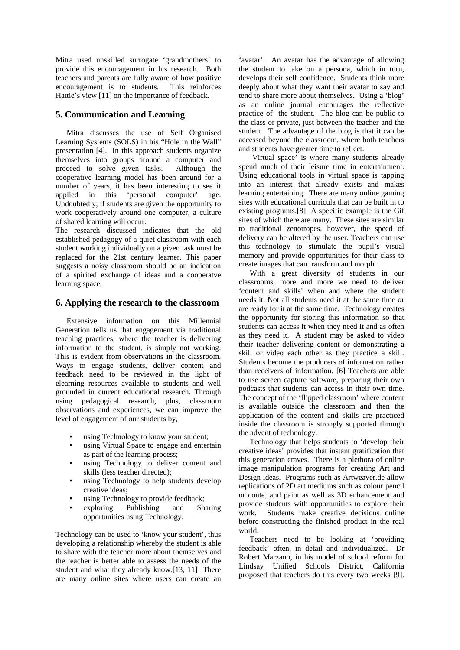Mitra used unskilled surrogate 'grandmothers' to provide this encouragement in his research. Both teachers and parents are fully aware of how positive encouragement is to students. This reinforces Hattie's view [11] on the importance of feedback.

# **5. Communication and Learning**

Mitra discusses the use of Self Organised Learning Systems (SOLS) in his "Hole in the Wall" presentation [4]. In this approach students organize themselves into groups around a computer and proceed to solve given tasks. Although the cooperative learning model has been around for a number of years, it has been interesting to see it applied in this 'personal computer' age. Undoubtedly, if students are given the opportunity to work cooperatively around one computer, a culture of shared learning will occur.

The research discussed indicates that the old established pedagogy of a quiet classroom with each student working individually on a given task must be replaced for the 21st century learner. This paper suggests a noisy classroom should be an indication of a spirited exchange of ideas and a cooperatve learning space.

### **6. Applying the research to the classroom**

Extensive information on this Millennial Generation tells us that engagement via traditional teaching practices, where the teacher is delivering information to the student, is simply not working. This is evident from observations in the classroom. Ways to engage students, deliver content and feedback need to be reviewed in the light of elearning resources available to students and well grounded in current educational research. Through using pedagogical research, plus, classroom observations and experiences, we can improve the level of engagement of our students by,

- using Technology to know your student;
- using Virtual Space to engage and entertain as part of the learning process;
- using Technology to deliver content and skills (less teacher directed);
- using Technology to help students develop creative ideas;
- using Technology to provide feedback:
- exploring Publishing and Sharing opportunities using Technology.

Technology can be used to 'know your student', thus developing a relationship whereby the student is able to share with the teacher more about themselves and the teacher is better able to assess the needs of the student and what they already know.[13, 11] There are many online sites where users can create an 'avatar'. An avatar has the advantage of allowing the student to take on a persona, which in turn, develops their self confidence. Students think more deeply about what they want their avatar to say and tend to share more about themselves. Using a 'blog' as an online journal encourages the reflective practice of the student. The blog can be public to the class or private, just between the teacher and the student. The advantage of the blog is that it can be accessed beyond the classroom, where both teachers and students have greater time to reflect.

'Virtual space' is where many students already spend much of their leisure time in entertainment. Using educational tools in virtual space is tapping into an interest that already exists and makes learning entertaining. There are many online gaming sites with educational curricula that can be built in to existing programs.[8] A specific example is the Gif sites of which there are many. These sites are similar to traditional zenotropes, however, the speed of delivery can be altered by the user. Teachers can use this technology to stimulate the pupil's visual memory and provide opportunities for their class to create images that can transform and morph.

With a great diversity of students in our classrooms, more and more we need to deliver 'content and skills' when and where the student needs it. Not all students need it at the same time or are ready for it at the same time. Technology creates the opportunity for storing this information so that students can access it when they need it and as often as they need it. A student may be asked to video their teacher delivering content or demonstrating a skill or video each other as they practice a skill. Students become the producers of information rather than receivers of information. [6] Teachers are able to use screen capture software, preparing their own podcasts that students can access in their own time. The concept of the 'flipped classroom' where content is available outside the classroom and then the application of the content and skills are practiced inside the classroom is strongly supported through the advent of technology.

Technology that helps students to 'develop their creative ideas' provides that instant gratification that this generation craves. There is a plethora of online image manipulation programs for creating Art and Design ideas. Programs such as Artweaver.de allow replications of 2D art mediums such as colour pencil or conte, and paint as well as 3D enhancement and provide students with opportunities to explore their work. Students make creative decisions online before constructing the finished product in the real world.

Teachers need to be looking at 'providing feedback' often, in detail and individualized. Dr Robert Marzano, in his model of school reform for Lindsay Unified Schools District, California proposed that teachers do this every two weeks [9].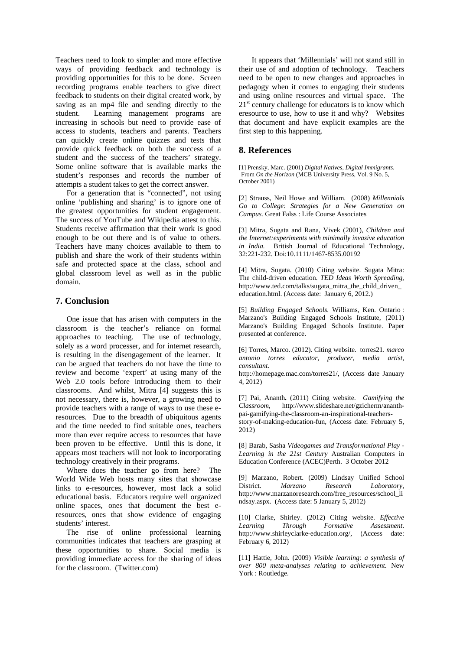Teachers need to look to simpler and more effective ways of providing feedback and technology is providing opportunities for this to be done. Screen recording programs enable teachers to give direct feedback to students on their digital created work, by saving as an mp4 file and sending directly to the student. Learning management programs are increasing in schools but need to provide ease of access to students, teachers and parents. Teachers can quickly create online quizzes and tests that provide quick feedback on both the success of a student and the success of the teachers' strategy. Some online software that is available marks the student's responses and records the number of attempts a student takes to get the correct answer.

For a generation that is "connected", not using online 'publishing and sharing' is to ignore one of the greatest opportunities for student engagement. The success of YouTube and Wikipedia attest to this. Students receive affirmation that their work is good enough to be out there and is of value to others. Teachers have many choices available to them to publish and share the work of their students within safe and protected space at the class, school and global classroom level as well as in the public domain.

### **7. Conclusion**

One issue that has arisen with computers in the classroom is the teacher's reliance on formal approaches to teaching. The use of technology, solely as a word processer, and for internet research, is resulting in the disengagement of the learner. It can be argued that teachers do not have the time to review and become 'expert' at using many of the Web 2.0 tools before introducing them to their classrooms. And whilst, Mitra [4] suggests this is not necessary, there is, however, a growing need to provide teachers with a range of ways to use these eresources. Due to the breadth of ubiquitous agents and the time needed to find suitable ones, teachers more than ever require access to resources that have been proven to be effective. Until this is done, it appears most teachers will not look to incorporating technology creatively in their programs.

Where does the teacher go from here? The World Wide Web hosts many sites that showcase links to e-resources, however, most lack a solid educational basis. Educators require well organized online spaces, ones that document the best eresources, ones that show evidence of engaging students' interest.

The rise of online professional learning communities indicates that teachers are grasping at these opportunities to share. Social media is providing immediate access for the sharing of ideas for the classroom. (Twitter.com)

 It appears that 'Millennials' will not stand still in their use of and adoption of technology. Teachers need to be open to new changes and approaches in pedagogy when it comes to engaging their students and using online resources and virtual space. The  $21<sup>st</sup>$  century challenge for educators is to know which eresource to use, how to use it and why? Websites that document and have explicit examples are the first step to this happening.

### **8. References**

[1] Prensky, Marc. (2001) *Digital Natives, Digital Immigrants*. From *On the Horizon* (MCB University Press, Vol. 9 No. 5, October 2001)

[2] Strauss, Neil Howe and William. (2008) *Millennials Go to College: Strategies for a New Generation on Campus.* Great Falss : Life Course Associates

[3] Mitra, Sugata and Rana, Vivek (2001), *Children and the Internet:experiments with minimally invasive education in India.* British Journal of Educational Technology, 32:221-232. Doi:10.1111/1467-8535.00192

[4] Mitra, Sugata. (2010) Citing website. Sugata Mitra: The child-driven education. *TED Ideas Worth Spreading,*  http://www.ted.com/talks/sugata\_mitra\_the\_child\_driven\_ education.html. (Access date: January 6, 2012.)

[5] *Building Engaged Schools.* Williams, Ken. Ontario : Marzano's Building Engaged Schools Institute, (2011) Marzano's Building Engaged Schools Institute. Paper presented at conference.

[6] Torres, Marco. (2012). Citing website. torres21. *marco antonio torres educator, producer, media artist, consultant.* 

http://homepage.mac.com/torres21/, (Access date January 4, 2012)

[7] Pai, Ananth**.** (2011) Citing website. *Gamifying the Classroom*, http://www.slideshare.net/gzicherm/ananthpai-gamifying-the-classroom-an-inspirational-teachersstory-of-making-education-fun*,* (Access date: February 5, 2012)

[8] Barab, Sasha *Videogames and Transformational Play - Learning in the 21st Century* Australian Computers in Education Conference (ACEC)Perth. 3 October 2012

[9] Marzano, Robert. (2009) Lindsay Unified School District. *Marzano Research Laboratory,*  http://www.marzanoresearch.com/free\_resources/school\_li ndsay.aspx. (Access date: 5 January 5, 2012)

[10] Clarke, Shirley. (2012) Citing website. *Effective Learning Through Formative Assessment*. http://www.shirleyclarke-education.org/, (Access date: February 6, 2012)

[11] Hattie, John. (2009) *Visible learning: a synthesis of over 800 meta-analyses relating to achievement.* New York : Routledge.